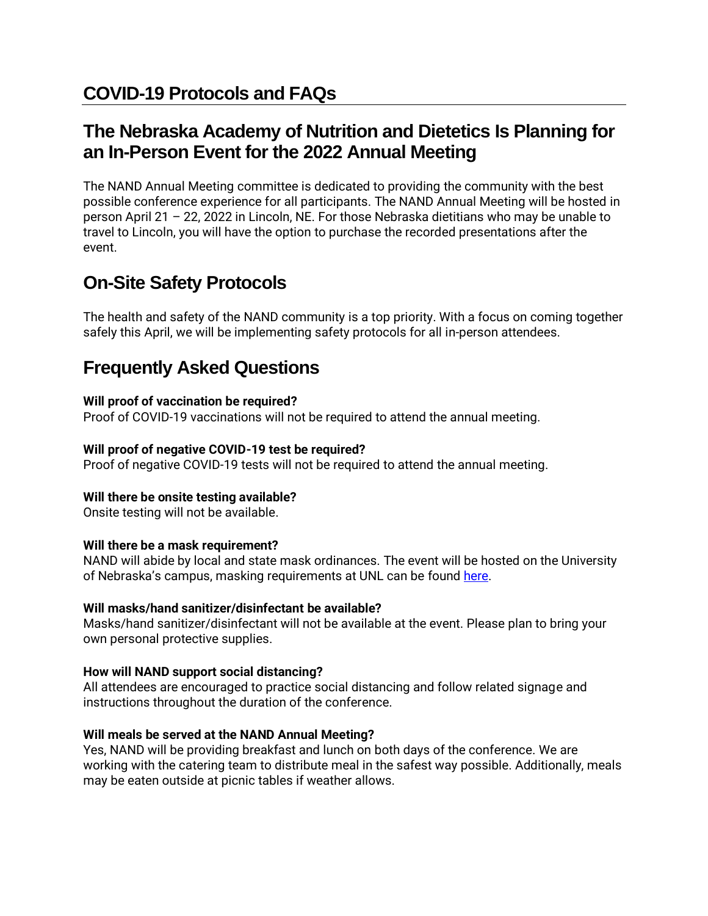## **The Nebraska Academy of Nutrition and Dietetics Is Planning for an In-Person Event for the 2022 Annual Meeting**

The NAND Annual Meeting committee is dedicated to providing the community with the best possible conference experience for all participants. The NAND Annual Meeting will be hosted in person April 21 – 22, 2022 in Lincoln, NE. For those Nebraska dietitians who may be unable to travel to Lincoln, you will have the option to purchase the recorded presentations after the event.

# **On-Site Safety Protocols**

The health and safety of the NAND community is a top priority. With a focus on coming together safely this April, we will be implementing safety protocols for all in-person attendees.

## **Frequently Asked Questions**

## **Will proof of vaccination be required?**

Proof of COVID-19 vaccinations will not be required to attend the annual meeting.

## **Will proof of negative COVID-19 test be required?**

Proof of negative COVID-19 tests will not be required to attend the annual meeting.

## **Will there be onsite testing available?**

Onsite testing will not be available.

## **Will there be a mask requirement?**

NAND will abide by local and state mask ordinances. The event will be hosted on the University of Nebraska's campus, masking requirements at UNL can be found [here.](https://covid19.unl.edu/face-covering-policy)

## **Will masks/hand sanitizer/disinfectant be available?**

Masks/hand sanitizer/disinfectant will not be available at the event. Please plan to bring your own personal protective supplies.

## **How will NAND support social distancing?**

All attendees are encouraged to practice social distancing and follow related signage and instructions throughout the duration of the conference.

## **Will meals be served at the NAND Annual Meeting?**

Yes, NAND will be providing breakfast and lunch on both days of the conference. We are working with the catering team to distribute meal in the safest way possible. Additionally, meals may be eaten outside at picnic tables if weather allows.